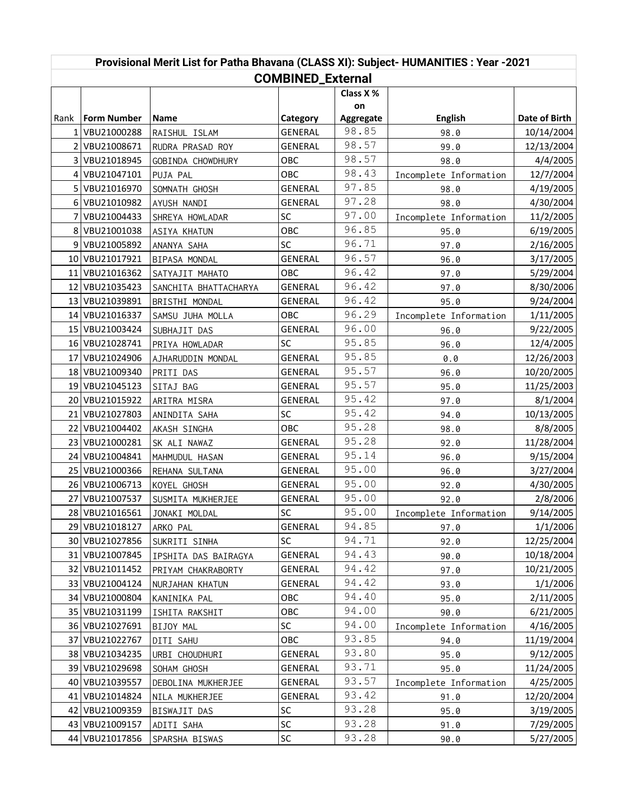| Provisional Merit List for Patha Bhavana (CLASS XI): Subject- HUMANITIES : Year -2021 |                    |                       |                |                 |                        |               |  |  |
|---------------------------------------------------------------------------------------|--------------------|-----------------------|----------------|-----------------|------------------------|---------------|--|--|
| <b>COMBINED_External</b>                                                              |                    |                       |                |                 |                        |               |  |  |
|                                                                                       |                    |                       |                | Class X %<br>on |                        |               |  |  |
|                                                                                       | Rank   Form Number | Name                  | Category       | Aggregate       | <b>English</b>         | Date of Birth |  |  |
|                                                                                       | 1 VBU21000288      | RAISHUL ISLAM         | GENERAL        | 98.85           | 98.0                   | 10/14/2004    |  |  |
|                                                                                       | 2 VBU21008671      | RUDRA PRASAD ROY      | <b>GENERAL</b> | 98.57           | 99.0                   | 12/13/2004    |  |  |
|                                                                                       | 3 VBU21018945      | GOBINDA CHOWDHURY     | OBC            | 98.57           | 98.0                   | 4/4/2005      |  |  |
|                                                                                       | 4 VBU21047101      | PUJA PAL              | OBC            | 98.43           | Incomplete Information | 12/7/2004     |  |  |
|                                                                                       | 5 VBU21016970      | SOMNATH GHOSH         | <b>GENERAL</b> | 97.85           | 98.0                   | 4/19/2005     |  |  |
|                                                                                       | 6 VBU21010982      | AYUSH NANDI           | GENERAL        | 97.28           | 98.0                   | 4/30/2004     |  |  |
|                                                                                       | 7 VBU21004433      | SHREYA HOWLADAR       | <b>SC</b>      | 97.00           | Incomplete Information | 11/2/2005     |  |  |
|                                                                                       | 8 VBU21001038      | ASIYA KHATUN          | OBC            | 96.85           | 95.0                   | 6/19/2005     |  |  |
|                                                                                       | 9 VBU21005892      | ANANYA SAHA           | SC             | 96.71           | 97.0                   | 2/16/2005     |  |  |
|                                                                                       | 10 VBU21017921     | BIPASA MONDAL         | <b>GENERAL</b> | 96.57           | 96.0                   | 3/17/2005     |  |  |
|                                                                                       | 11 VBU21016362     | SATYAJIT MAHATO       | OBC            | 96.42           | 97.0                   | 5/29/2004     |  |  |
|                                                                                       | 12 VBU21035423     | SANCHITA BHATTACHARYA | GENERAL        | 96.42           | 97.0                   | 8/30/2006     |  |  |
|                                                                                       | 13 VBU21039891     | BRISTHI MONDAL        | GENERAL        | 96.42           | 95.0                   | 9/24/2004     |  |  |
|                                                                                       | 14 VBU21016337     | SAMSU JUHA MOLLA      | OBC            | 96.29           | Incomplete Information | 1/11/2005     |  |  |
|                                                                                       | 15 VBU21003424     | SUBHAJIT DAS          | <b>GENERAL</b> | 96.00           | 96.0                   | 9/22/2005     |  |  |
|                                                                                       | 16 VBU21028741     | PRIYA HOWLADAR        | SC             | 95.85           | 96.0                   | 12/4/2005     |  |  |
|                                                                                       | 17 VBU21024906     | AJHARUDDIN MONDAL     | GENERAL        | 95.85           | 0.0                    | 12/26/2003    |  |  |
|                                                                                       | 18 VBU21009340     | PRITI DAS             | GENERAL        | 95.57           | 96.0                   | 10/20/2005    |  |  |
|                                                                                       | 19 VBU21045123     | SITAJ BAG             | GENERAL        | 95.57           | 95.0                   | 11/25/2003    |  |  |
|                                                                                       | 20 VBU21015922     | ARITRA MISRA          | <b>GENERAL</b> | 95.42           | 97.0                   | 8/1/2004      |  |  |
|                                                                                       | 21   VBU21027803   | ANINDITA SAHA         | SC             | 95.42           | 94.0                   | 10/13/2005    |  |  |
|                                                                                       | 22 VBU21004402     | AKASH SINGHA          | OBC            | 95.28           | 98.0                   | 8/8/2005      |  |  |
|                                                                                       | 23 VBU21000281     | SK ALI NAWAZ          | GENERAL        | 95.28           | 92.0                   | 11/28/2004    |  |  |
|                                                                                       | 24 VBU21004841     | MAHMUDUL HASAN        | <b>GENERAL</b> | 95.14           | 96.0                   | 9/15/2004     |  |  |
|                                                                                       | 25   VBU21000366   | REHANA SULTANA        | GENERAL        | 95.00           | 96.0                   | 3/27/2004     |  |  |
|                                                                                       | 26 VBU21006713     | KOYEL GHOSH           | GENERAL        | 95.00           | 92.0                   | 4/30/2005     |  |  |
|                                                                                       | 27 VBU21007537     | SUSMITA MUKHERJEE     | <b>GENERAL</b> | 95.00           | 92.0                   | 2/8/2006      |  |  |
|                                                                                       | 28 VBU21016561     | JONAKI MOLDAL         | SC             | 95.00           | Incomplete Information | 9/14/2005     |  |  |
|                                                                                       | 29 VBU21018127     | ARKO PAL              | <b>GENERAL</b> | 94.85           | 97.0                   | 1/1/2006      |  |  |
|                                                                                       | 30 VBU21027856     | SUKRITI SINHA         | <b>SC</b>      | 94.71           | 92.0                   | 12/25/2004    |  |  |
|                                                                                       | 31 VBU21007845     | IPSHITA DAS BAIRAGYA  | <b>GENERAL</b> | 94.43           | 90.0                   | 10/18/2004    |  |  |
|                                                                                       | 32 VBU21011452     | PRIYAM CHAKRABORTY    | GENERAL        | 94.42           | 97.0                   | 10/21/2005    |  |  |
|                                                                                       | 33 VBU21004124     | NURJAHAN KHATUN       | GENERAL        | 94.42           | 93.0                   | 1/1/2006      |  |  |
|                                                                                       | 34   VBU21000804   | KANINIKA PAL          | OBC            | 94.40           | 95.0                   | 2/11/2005     |  |  |
|                                                                                       | 35   VBU21031199   | ISHITA RAKSHIT        | OBC            | 94.00           | 90.0                   | 6/21/2005     |  |  |
|                                                                                       | 36 VBU21027691     | BIJOY MAL             | SC             | 94.00           | Incomplete Information | 4/16/2005     |  |  |
|                                                                                       | 37 VBU21022767     | DITI SAHU             | OBC            | 93.85           | 94.0                   | 11/19/2004    |  |  |
|                                                                                       | 38 VBU21034235     | URBI CHOUDHURI        | GENERAL        | 93.80           | 95.0                   | 9/12/2005     |  |  |
|                                                                                       | 39 VBU21029698     | SOHAM GHOSH           | GENERAL        | 93.71           | 95.0                   | 11/24/2005    |  |  |
|                                                                                       | 40 VBU21039557     | DEBOLINA MUKHERJEE    | GENERAL        | 93.57           | Incomplete Information | 4/25/2005     |  |  |
|                                                                                       | 41 VBU21014824     | NILA MUKHERJEE        | GENERAL        | 93.42           | 91.0                   | 12/20/2004    |  |  |
|                                                                                       | 42 VBU21009359     | BISWAJIT DAS          | SC             | 93.28           | 95.0                   | 3/19/2005     |  |  |
|                                                                                       | 43 VBU21009157     | ADITI SAHA            | SC             | 93.28           | 91.0                   | 7/29/2005     |  |  |
|                                                                                       | 44 VBU21017856     | SPARSHA BISWAS        | SC             | 93.28           | 90.0                   | 5/27/2005     |  |  |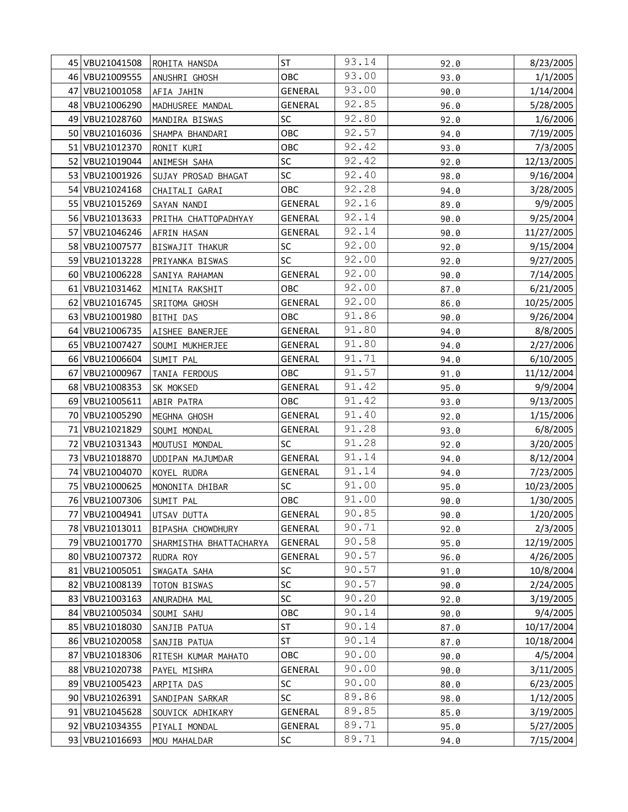| 45   VBU21041508 | ROHITA HANSDA           | <b>ST</b>      | 93.14 | 92.0 | 8/23/2005  |
|------------------|-------------------------|----------------|-------|------|------------|
| 46 VBU21009555   | ANUSHRI GHOSH           | OBC            | 93.00 | 93.0 | 1/1/2005   |
| 47 VBU21001058   | AFIA JAHIN              | GENERAL        | 93.00 | 90.0 | 1/14/2004  |
| 48   VBU21006290 | MADHUSREE MANDAL        | <b>GENERAL</b> | 92.85 | 96.0 | 5/28/2005  |
| 49 VBU21028760   | MANDIRA BISWAS          | SC             | 92.80 | 92.0 | 1/6/2006   |
| 50 VBU21016036   | SHAMPA BHANDARI         | OBC            | 92.57 | 94.0 | 7/19/2005  |
| 51   VBU21012370 | RONIT KURI              | OBC            | 92.42 | 93.0 | 7/3/2005   |
| 52 VBU21019044   | ANIMESH SAHA            | SC             | 92.42 | 92.0 | 12/13/2005 |
| 53 VBU21001926   | SUJAY PROSAD BHAGAT     | SC             | 92.40 | 98.0 | 9/16/2004  |
| 54   VBU21024168 | CHAITALI GARAI          | OBC            | 92.28 | 94.0 | 3/28/2005  |
| 55 VBU21015269   | SAYAN NANDI             | <b>GENERAL</b> | 92.16 | 89.0 | 9/9/2005   |
| 56 VBU21013633   | PRITHA CHATTOPADHYAY    | GENERAL        | 92.14 | 90.0 | 9/25/2004  |
| 57 VBU21046246   | AFRIN HASAN             | GENERAL        | 92.14 | 90.0 | 11/27/2005 |
| 58 VBU21007577   | BISWAJIT THAKUR         | SC             | 92.00 | 92.0 | 9/15/2004  |
| 59 VBU21013228   | PRIYANKA BISWAS         | SC             | 92.00 | 92.0 | 9/27/2005  |
| 60 VBU21006228   | SANIYA RAHAMAN          | <b>GENERAL</b> | 92.00 | 90.0 | 7/14/2005  |
| 61 VBU21031462   | MINITA RAKSHIT          | OBC            | 92.00 | 87.0 | 6/21/2005  |
| 62 VBU21016745   | SRITOMA GHOSH           | <b>GENERAL</b> | 92.00 | 86.0 | 10/25/2005 |
| 63 VBU21001980   | BITHI DAS               | OBC            | 91.86 | 90.0 | 9/26/2004  |
| 64 VBU21006735   | AISHEE BANERJEE         | <b>GENERAL</b> | 91.80 | 94.0 | 8/8/2005   |
| 65 VBU21007427   | SOUMI MUKHERJEE         | GENERAL        | 91.80 | 94.0 | 2/27/2006  |
| 66 VBU21006604   | SUMIT PAL               | <b>GENERAL</b> | 91.71 | 94.0 | 6/10/2005  |
| 67   VBU21000967 | TANIA FERDOUS           | OBC            | 91.57 | 91.0 | 11/12/2004 |
| 68 VBU21008353   | SK MOKSED               | <b>GENERAL</b> | 91.42 | 95.0 | 9/9/2004   |
| 69 VBU21005611   | ABIR PATRA              | OBC            | 91.42 | 93.0 | 9/13/2005  |
| 70 VBU21005290   | MEGHNA GHOSH            | <b>GENERAL</b> | 91.40 | 92.0 | 1/15/2006  |
| 71   VBU21021829 | SOUMI MONDAL            | GENERAL        | 91.28 | 93.0 | 6/8/2005   |
| 72   VBU21031343 | MOUTUSI MONDAL          | SC             | 91.28 | 92.0 | 3/20/2005  |
| 73 VBU21018870   | UDDIPAN MAJUMDAR        | <b>GENERAL</b> | 91.14 | 94.0 | 8/12/2004  |
| 74 VBU21004070   | KOYEL RUDRA             | GENERAL        | 91.14 | 94.0 | 7/23/2005  |
| 75 VBU21000625   | MONONITA DHIBAR         | SC             | 91.00 | 95.0 | 10/23/2005 |
| 76 VBU21007306   | SUMIT PAL               | OBC            | 91.00 | 90.0 | 1/30/2005  |
| 77 VBU21004941   | UTSAV DUTTA             | GENERAL        | 90.85 | 90.0 | 1/20/2005  |
| 78   VBU21013011 | BIPASHA CHOWDHURY       | GENERAL        | 90.71 | 92.0 | 2/3/2005   |
| 79 VBU21001770   | SHARMISTHA BHATTACHARYA | GENERAL        | 90.58 | 95.0 | 12/19/2005 |
| 80 VBU21007372   | RUDRA ROY               | <b>GENERAL</b> | 90.57 | 96.0 | 4/26/2005  |
| 81 VBU21005051   | SWAGATA SAHA            | SC             | 90.57 | 91.0 | 10/8/2004  |
| 82   VBU21008139 | TOTON BISWAS            | SC             | 90.57 | 90.0 | 2/24/2005  |
| 83   VBU21003163 | ANURADHA MAL            | SC             | 90.20 | 92.0 | 3/19/2005  |
| 84 VBU21005034   | SOUMI SAHU              | OBC            | 90.14 | 90.0 | 9/4/2005   |
| 85 VBU21018030   | SANJIB PATUA            | <b>ST</b>      | 90.14 | 87.0 | 10/17/2004 |
| 86 VBU21020058   | SANJIB PATUA            | <b>ST</b>      | 90.14 | 87.0 | 10/18/2004 |
| 87 VBU21018306   | RITESH KUMAR MAHATO     | OBC            | 90.00 | 90.0 | 4/5/2004   |
| 88 VBU21020738   | PAYEL MISHRA            | <b>GENERAL</b> | 90.00 | 90.0 | 3/11/2005  |
| 89 VBU21005423   | ARPITA DAS              | SC             | 90.00 | 80.0 | 6/23/2005  |
| 90 VBU21026391   | SANDIPAN SARKAR         | SC             | 89.86 | 98.0 | 1/12/2005  |
| 91   VBU21045628 | SOUVICK ADHIKARY        | GENERAL        | 89.85 | 85.0 | 3/19/2005  |
| 92   VBU21034355 | PIYALI MONDAL           | <b>GENERAL</b> | 89.71 | 95.0 | 5/27/2005  |
| 93 VBU21016693   | MOU MAHALDAR            | SC             | 89.71 | 94.0 | 7/15/2004  |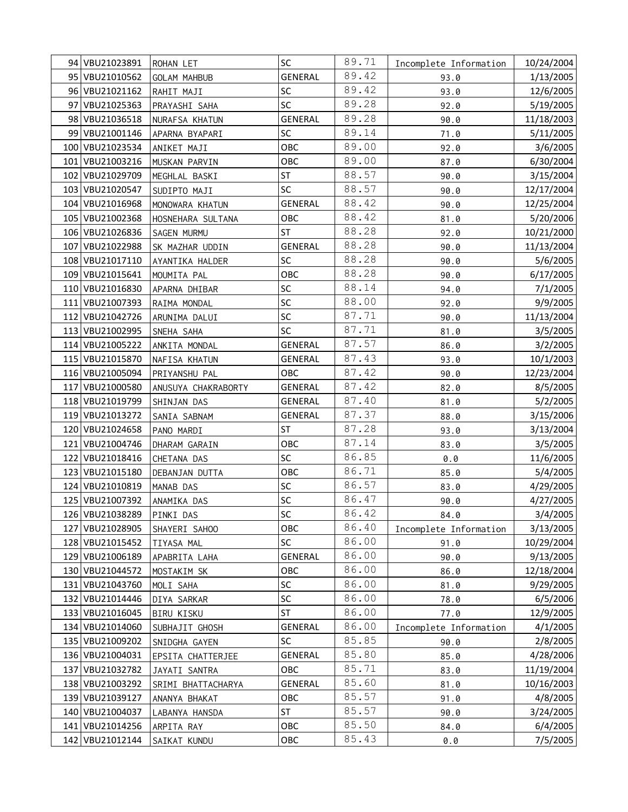| 94 VBU21023891   | ROHAN LET           | <b>SC</b>      | 89.71 | Incomplete Information | 10/24/2004 |
|------------------|---------------------|----------------|-------|------------------------|------------|
| 95 VBU21010562   | GOLAM MAHBUB        | <b>GENERAL</b> | 89.42 | 93.0                   | 1/13/2005  |
| 96 VBU21021162   | RAHIT MAJI          | SC             | 89.42 | 93.0                   | 12/6/2005  |
| 97   VBU21025363 | PRAYASHI SAHA       | SC             | 89.28 | 92.0                   | 5/19/2005  |
| 98 VBU21036518   | NURAFSA KHATUN      | <b>GENERAL</b> | 89.28 | 90.0                   | 11/18/2003 |
| 99   VBU21001146 | APARNA BYAPARI      | SC             | 89.14 | 71.0                   | 5/11/2005  |
| 100 VBU21023534  | ANIKET MAJI         | OBC            | 89.00 | 92.0                   | 3/6/2005   |
| 101 VBU21003216  | MUSKAN PARVIN       | OBC            | 89.00 | 87.0                   | 6/30/2004  |
| 102 VBU21029709  | MEGHLAL BASKI       | ST             | 88.57 | 90.0                   | 3/15/2004  |
| 103 VBU21020547  | SUDIPTO MAJI        | <b>SC</b>      | 88.57 | 90.0                   | 12/17/2004 |
| 104 VBU21016968  | MONOWARA KHATUN     | <b>GENERAL</b> | 88.42 | 90.0                   | 12/25/2004 |
| 105 VBU21002368  | HOSNEHARA SULTANA   | OBC            | 88.42 | 81.0                   | 5/20/2006  |
| 106 VBU21026836  | SAGEN MURMU         | ST             | 88.28 | 92.0                   | 10/21/2000 |
| 107 VBU21022988  | SK MAZHAR UDDIN     | <b>GENERAL</b> | 88.28 | 90.0                   | 11/13/2004 |
| 108 VBU21017110  | AYANTIKA HALDER     | <b>SC</b>      | 88.28 | 90.0                   | 5/6/2005   |
| 109 VBU21015641  | MOUMITA PAL         | OBC            | 88.28 | 90.0                   | 6/17/2005  |
| 110 VBU21016830  | APARNA DHIBAR       | SC             | 88.14 | 94.0                   | 7/1/2005   |
| 111 VBU21007393  | RAIMA MONDAL        | SC             | 88.00 | 92.0                   | 9/9/2005   |
| 112 VBU21042726  | ARUNIMA DALUI       | SC             | 87.71 | 90.0                   | 11/13/2004 |
| 113 VBU21002995  | SNEHA SAHA          | SC             | 87.71 | 81.0                   | 3/5/2005   |
| 114 VBU21005222  | ANKITA MONDAL       | <b>GENERAL</b> | 87.57 | 86.0                   | 3/2/2005   |
| 115 VBU21015870  | NAFISA KHATUN       | <b>GENERAL</b> | 87.43 | 93.0                   | 10/1/2003  |
| 116 VBU21005094  | PRIYANSHU PAL       | OBC            | 87.42 | 90.0                   | 12/23/2004 |
| 117 VBU21000580  | ANUSUYA CHAKRABORTY | GENERAL        | 87.42 | 82.0                   | 8/5/2005   |
| 118 VBU21019799  | SHINJAN DAS         | GENERAL        | 87.40 | 81.0                   | 5/2/2005   |
| 119 VBU21013272  | SANIA SABNAM        | GENERAL        | 87.37 | 88.0                   | 3/15/2006  |
| 120 VBU21024658  | PANO MARDI          | ST             | 87.28 | 93.0                   | 3/13/2004  |
| 121 VBU21004746  | DHARAM GARAIN       | OBC            | 87.14 | 83.0                   | 3/5/2005   |
| 122 VBU21018416  | CHETANA DAS         | <b>SC</b>      | 86.85 | 0.0                    | 11/6/2005  |
| 123 VBU21015180  | DEBANJAN DUTTA      | OBC            | 86.71 | 85.0                   | 5/4/2005   |
| 124 VBU21010819  | MANAB DAS           | SC             | 86.57 | 83.0                   | 4/29/2005  |
| 125 VBU21007392  | ANAMIKA DAS         | SC             | 86.47 | 90.0                   | 4/27/2005  |
| 126 VBU21038289  | PINKI DAS           | SC             | 86.42 | 84.0                   | 3/4/2005   |
| 127 VBU21028905  | SHAYERI SAHOO       | OBC            | 86.40 | Incomplete Information | 3/13/2005  |
| 128 VBU21015452  | TIYASA MAL          | <b>SC</b>      | 86.00 | 91.0                   | 10/29/2004 |
| 129 VBU21006189  | APABRITA LAHA       | GENERAL        | 86.00 | 90.0                   | 9/13/2005  |
| 130 VBU21044572  | MOSTAKIM SK         | OBC            | 86.00 | 86.0                   | 12/18/2004 |
| 131 VBU21043760  | MOLI SAHA           | <b>SC</b>      | 86.00 | 81.0                   | 9/29/2005  |
| 132 VBU21014446  | DIYA SARKAR         | <b>SC</b>      | 86.00 | 78.0                   | 6/5/2006   |
| 133 VBU21016045  | <b>BIRU KISKU</b>   | ST             | 86.00 | 77.0                   | 12/9/2005  |
| 134 VBU21014060  | SUBHAJIT GHOSH      | <b>GENERAL</b> | 86.00 | Incomplete Information | 4/1/2005   |
| 135 VBU21009202  | SNIDGHA GAYEN       | <b>SC</b>      | 85.85 | 90.0                   | 2/8/2005   |
| 136 VBU21004031  | EPSITA CHATTERJEE   | <b>GENERAL</b> | 85.80 | 85.0                   | 4/28/2006  |
| 137 VBU21032782  | JAYATI SANTRA       | OBC            | 85.71 | 83.0                   | 11/19/2004 |
| 138 VBU21003292  | SRIMI BHATTACHARYA  | <b>GENERAL</b> | 85.60 | 81.0                   | 10/16/2003 |
| 139 VBU21039127  | ANANYA BHAKAT       | OBC            | 85.57 | 91.0                   | 4/8/2005   |
| 140 VBU21004037  | LABANYA HANSDA      | ST             | 85.57 | 90.0                   | 3/24/2005  |
| 141 VBU21014256  | ARPITA RAY          | OBC            | 85.50 | 84.0                   | 6/4/2005   |
| 142 VBU21012144  | SAIKAT KUNDU        | OBC            | 85.43 | 0.0                    | 7/5/2005   |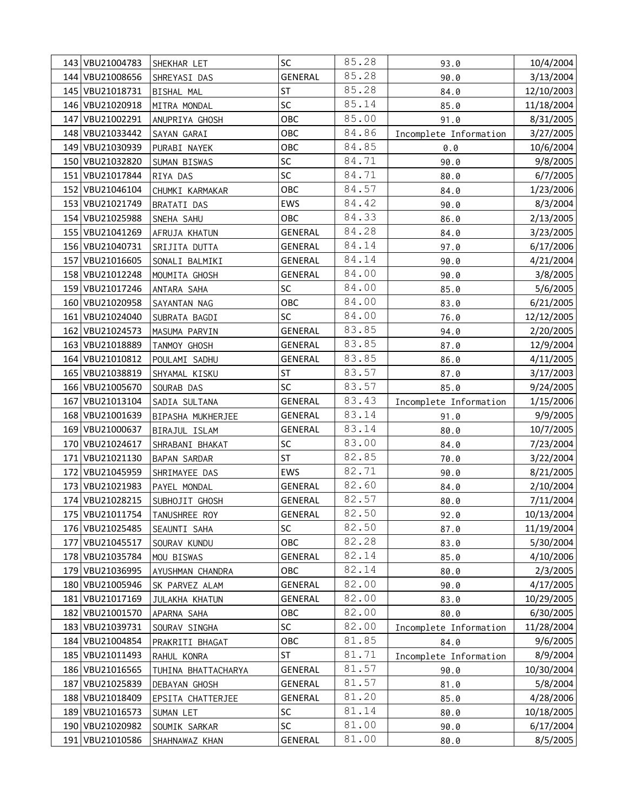| 143 VBU21004783 | SHEKHAR LET         | <b>SC</b>      | 85.28 | 93.0                   | 10/4/2004  |
|-----------------|---------------------|----------------|-------|------------------------|------------|
| 144 VBU21008656 | SHREYASI DAS        | <b>GENERAL</b> | 85.28 | 90.0                   | 3/13/2004  |
| 145 VBU21018731 | BISHAL MAL          | ST             | 85.28 | 84.0                   | 12/10/2003 |
| 146 VBU21020918 | MITRA MONDAL        | SC             | 85.14 | 85.0                   | 11/18/2004 |
| 147 VBU21002291 | ANUPRIYA GHOSH      | OBC            | 85.00 | 91.0                   | 8/31/2005  |
| 148 VBU21033442 | SAYAN GARAI         | OBC            | 84.86 | Incomplete Information | 3/27/2005  |
| 149 VBU21030939 | PURABI NAYEK        | OBC            | 84.85 | 0.0                    | 10/6/2004  |
| 150 VBU21032820 | SUMAN BISWAS        | <b>SC</b>      | 84.71 | 90.0                   | 9/8/2005   |
| 151 VBU21017844 | RIYA DAS            | SC             | 84.71 | 80.0                   | 6/7/2005   |
| 152 VBU21046104 | CHUMKI KARMAKAR     | OBC            | 84.57 | 84.0                   | 1/23/2006  |
| 153 VBU21021749 | <b>BRATATI DAS</b>  | EWS            | 84.42 | 90.0                   | 8/3/2004   |
| 154 VBU21025988 | SNEHA SAHU          | OBC            | 84.33 | 86.0                   | 2/13/2005  |
| 155 VBU21041269 | AFRUJA KHATUN       | GENERAL        | 84.28 | 84.0                   | 3/23/2005  |
| 156 VBU21040731 | SRIJITA DUTTA       | GENERAL        | 84.14 | 97.0                   | 6/17/2006  |
| 157 VBU21016605 | SONALI BALMIKI      | <b>GENERAL</b> | 84.14 | 90.0                   | 4/21/2004  |
| 158 VBU21012248 | MOUMITA GHOSH       | <b>GENERAL</b> | 84.00 | 90.0                   | 3/8/2005   |
| 159 VBU21017246 | ANTARA SAHA         | SC             | 84.00 | 85.0                   | 5/6/2005   |
| 160 VBU21020958 | SAYANTAN NAG        | OBC            | 84.00 | 83.0                   | 6/21/2005  |
| 161 VBU21024040 | SUBRATA BAGDI       | <b>SC</b>      | 84.00 | 76.0                   | 12/12/2005 |
| 162 VBU21024573 | MASUMA PARVIN       | <b>GENERAL</b> | 83.85 | 94.0                   | 2/20/2005  |
| 163 VBU21018889 | TANMOY GHOSH        | <b>GENERAL</b> | 83.85 | 87.0                   | 12/9/2004  |
| 164 VBU21010812 | POULAMI SADHU       | <b>GENERAL</b> | 83.85 | 86.0                   | 4/11/2005  |
| 165 VBU21038819 | SHYAMAL KISKU       | <b>ST</b>      | 83.57 | 87.0                   | 3/17/2003  |
| 166 VBU21005670 | SOURAB DAS          | SC             | 83.57 | 85.0                   | 9/24/2005  |
| 167 VBU21013104 | SADIA SULTANA       | GENERAL        | 83.43 | Incomplete Information | 1/15/2006  |
| 168 VBU21001639 | BIPASHA MUKHERJEE   | GENERAL        | 83.14 | 91.0                   | 9/9/2005   |
| 169 VBU21000637 | BIRAJUL ISLAM       | GENERAL        | 83.14 | 80.0                   | 10/7/2005  |
| 170 VBU21024617 | SHRABANI BHAKAT     | <b>SC</b>      | 83.00 | 84.0                   | 7/23/2004  |
| 171 VBU21021130 | BAPAN SARDAR        | ST             | 82.85 | 70.0                   | 3/22/2004  |
| 172 VBU21045959 | SHRIMAYEE DAS       | EWS            | 82.71 | 90.0                   | 8/21/2005  |
| 173 VBU21021983 | PAYEL MONDAL        | GENERAL        | 82.60 | 84.0                   | 2/10/2004  |
| 174 VBU21028215 | SUBHOJIT GHOSH      | <b>GENERAL</b> | 82.57 | 80.0                   | 7/11/2004  |
| 175 VBU21011754 | TANUSHREE ROY       | GENERAL        | 82.50 | 92.0                   | 10/13/2004 |
| 176 VBU21025485 | SEAUNTI SAHA        | <b>SC</b>      | 82.50 | 87.0                   | 11/19/2004 |
| 177 VBU21045517 | SOURAV KUNDU        | OBC            | 82.28 | 83.0                   | 5/30/2004  |
| 178 VBU21035784 | MOU BISWAS          | <b>GENERAL</b> | 82.14 | 85.0                   | 4/10/2006  |
| 179 VBU21036995 | AYUSHMAN CHANDRA    | OBC            | 82.14 | 80.0                   | 2/3/2005   |
| 180 VBU21005946 | SK PARVEZ ALAM      | GENERAL        | 82.00 | 90.0                   | 4/17/2005  |
| 181 VBU21017169 | JULAKHA KHATUN      | <b>GENERAL</b> | 82.00 | 83.0                   | 10/29/2005 |
| 182 VBU21001570 | APARNA SAHA         | OBC            | 82.00 | 80.0                   | 6/30/2005  |
| 183 VBU21039731 | SOURAV SINGHA       | SC             | 82.00 | Incomplete Information | 11/28/2004 |
| 184 VBU21004854 | PRAKRITI BHAGAT     | OBC            | 81.85 | 84.0                   | 9/6/2005   |
| 185 VBU21011493 | RAHUL KONRA         | <b>ST</b>      | 81.71 | Incomplete Information | 8/9/2004   |
| 186 VBU21016565 | TUHINA BHATTACHARYA | GENERAL        | 81.57 | 90.0                   | 10/30/2004 |
| 187 VBU21025839 | DEBAYAN GHOSH       | GENERAL        | 81.57 | 81.0                   | 5/8/2004   |
| 188 VBU21018409 | EPSITA CHATTERJEE   | <b>GENERAL</b> | 81.20 | 85.0                   | 4/28/2006  |
| 189 VBU21016573 | SUMAN LET           | <b>SC</b>      | 81.14 | 80.0                   | 10/18/2005 |
| 190 VBU21020982 | SOUMIK SARKAR       | SC             | 81.00 | 90.0                   | 6/17/2004  |
| 191 VBU21010586 | SHAHNAWAZ KHAN      | GENERAL        | 81.00 | 80.0                   | 8/5/2005   |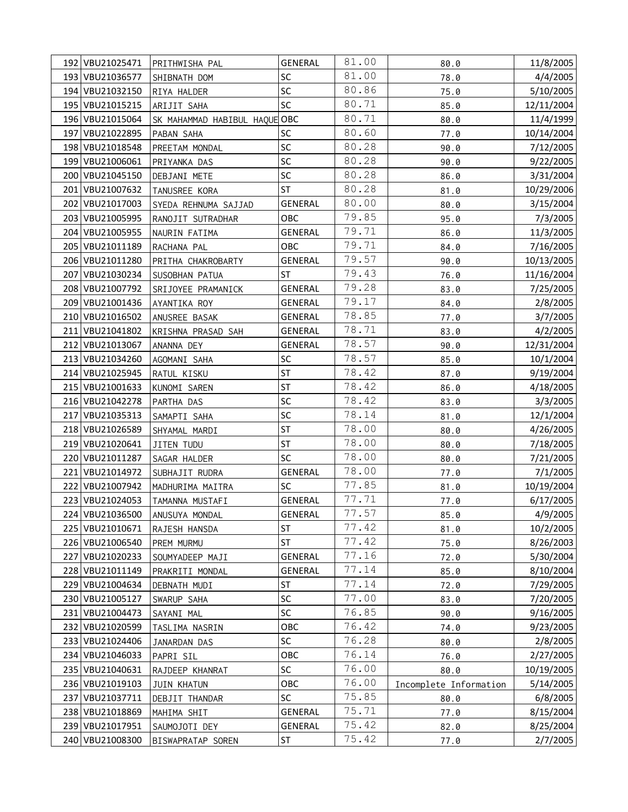| 192   VBU21025471 | PRITHWISHA PAL                | <b>GENERAL</b> | 81.00 | 80.0                   | 11/8/2005  |
|-------------------|-------------------------------|----------------|-------|------------------------|------------|
| 193 VBU21036577   | SHIBNATH DOM                  | SC             | 81.00 | 78.0                   | 4/4/2005   |
| 194 VBU21032150   | RIYA HALDER                   | SC             | 80.86 | 75.0                   | 5/10/2005  |
| 195 VBU21015215   | ARIJIT SAHA                   | SC             | 80.71 | 85.0                   | 12/11/2004 |
| 196 VBU21015064   | SK MAHAMMAD HABIBUL HAQUE OBC |                | 80.71 | 80.0                   | 11/4/1999  |
| 197 VBU21022895   | PABAN SAHA                    | SC             | 80.60 | 77.0                   | 10/14/2004 |
| 198 VBU21018548   | PREETAM MONDAL                | SC             | 80.28 | 90.0                   | 7/12/2005  |
| 199 VBU21006061   | PRIYANKA DAS                  | SC             | 80.28 | 90.0                   | 9/22/2005  |
| 200 VBU21045150   | DEBJANI METE                  | SC             | 80.28 | 86.0                   | 3/31/2004  |
| 201 VBU21007632   | TANUSREE KORA                 | <b>ST</b>      | 80.28 | 81.0                   | 10/29/2006 |
| 202 VBU21017003   | SYEDA REHNUMA SAJJAD          | <b>GENERAL</b> | 80.00 | 80.0                   | 3/15/2004  |
| 203 VBU21005995   | RANOJIT SUTRADHAR             | OBC            | 79.85 | 95.0                   | 7/3/2005   |
| 204 VBU21005955   | NAURIN FATIMA                 | GENERAL        | 79.71 | 86.0                   | 11/3/2005  |
| 205 VBU21011189   | RACHANA PAL                   | OBC            | 79.71 | 84.0                   | 7/16/2005  |
| 206 VBU21011280   | PRITHA CHAKROBARTY            | GENERAL        | 79.57 | 90.0                   | 10/13/2005 |
| 207 VBU21030234   | SUSOBHAN PATUA                | <b>ST</b>      | 79.43 | 76.0                   | 11/16/2004 |
| 208 VBU21007792   | SRIJOYEE PRAMANICK            | GENERAL        | 79.28 | 83.0                   | 7/25/2005  |
| 209 VBU21001436   | AYANTIKA ROY                  | <b>GENERAL</b> | 79.17 | 84.0                   | 2/8/2005   |
| 210 VBU21016502   | ANUSREE BASAK                 | <b>GENERAL</b> | 78.85 | 77.0                   | 3/7/2005   |
| 211 VBU21041802   | KRISHNA PRASAD SAH            | GENERAL        | 78.71 | 83.0                   | 4/2/2005   |
| 212 VBU21013067   | ANANNA DEY                    | GENERAL        | 78.57 | 90.0                   | 12/31/2004 |
| 213 VBU21034260   | AGOMANI SAHA                  | SC             | 78.57 | 85.0                   | 10/1/2004  |
| 214 VBU21025945   | RATUL KISKU                   | <b>ST</b>      | 78.42 | 87.0                   | 9/19/2004  |
| 215 VBU21001633   | KUNOMI SAREN                  | <b>ST</b>      | 78.42 | 86.0                   | 4/18/2005  |
| 216 VBU21042278   | PARTHA DAS                    | SC             | 78.42 | 83.0                   | 3/3/2005   |
| 217 VBU21035313   | SAMAPTI SAHA                  | SC             | 78.14 | 81.0                   | 12/1/2004  |
| 218 VBU21026589   | SHYAMAL MARDI                 | ST             | 78.00 | 80.0                   | 4/26/2005  |
| 219 VBU21020641   | JITEN TUDU                    | <b>ST</b>      | 78.00 | 80.0                   | 7/18/2005  |
| 220 VBU21011287   | SAGAR HALDER                  | SC             | 78.00 | 80.0                   | 7/21/2005  |
| 221 VBU21014972   | SUBHAJIT RUDRA                | GENERAL        | 78.00 | 77.0                   | 7/1/2005   |
| 222 VBU21007942   | MADHURIMA MAITRA              | SC             | 77.85 | 81.0                   | 10/19/2004 |
| 223 VBU21024053   | TAMANNA MUSTAFI               | <b>GENERAL</b> | 77.71 | 77.0                   | 6/17/2005  |
| 224 VBU21036500   | ANUSUYA MONDAL                | <b>GENERAL</b> | 77.57 | 85.0                   | 4/9/2005   |
| 225   VBU21010671 | RAJESH HANSDA                 | <b>ST</b>      | 77.42 | 81.0                   | 10/2/2005  |
| 226 VBU21006540   | PREM MURMU                    | <b>ST</b>      | 77.42 | 75.0                   | 8/26/2003  |
| 227 VBU21020233   | SOUMYADEEP MAJI               | <b>GENERAL</b> | 77.16 | 72.0                   | 5/30/2004  |
| 228 VBU21011149   | PRAKRITI MONDAL               | GENERAL        | 77.14 | 85.0                   | 8/10/2004  |
| 229 VBU21004634   | DEBNATH MUDI                  | <b>ST</b>      | 77.14 | 72.0                   | 7/29/2005  |
| 230 VBU21005127   | SWARUP SAHA                   | SC             | 77.00 | 83.0                   | 7/20/2005  |
| 231 VBU21004473   | SAYANI MAL                    | SC             | 76.85 | 90.0                   | 9/16/2005  |
| 232 VBU21020599   | TASLIMA NASRIN                | OBC            | 76.42 | 74.0                   | 9/23/2005  |
| 233 VBU21024406   | JANARDAN DAS                  | SC             | 76.28 | 80.0                   | 2/8/2005   |
| 234 VBU21046033   | PAPRI SIL                     | OBC            | 76.14 | 76.0                   | 2/27/2005  |
| 235 VBU21040631   | RAJDEEP KHANRAT               | SC             | 76.00 | 80.0                   | 10/19/2005 |
| 236 VBU21019103   | JUIN KHATUN                   | OBC            | 76.00 | Incomplete Information | 5/14/2005  |
| 237 VBU21037711   | DEBJIT THANDAR                | SC             | 75.85 | 80.0                   | 6/8/2005   |
| 238 VBU21018869   | MAHIMA SHIT                   | GENERAL        | 75.71 | 77.0                   | 8/15/2004  |
| 239 VBU21017951   | SAUMOJOTI DEY                 | <b>GENERAL</b> | 75.42 | 82.0                   | 8/25/2004  |
| 240 VBU21008300   | BISWAPRATAP SOREN             | ST             | 75.42 | 77.0                   | 2/7/2005   |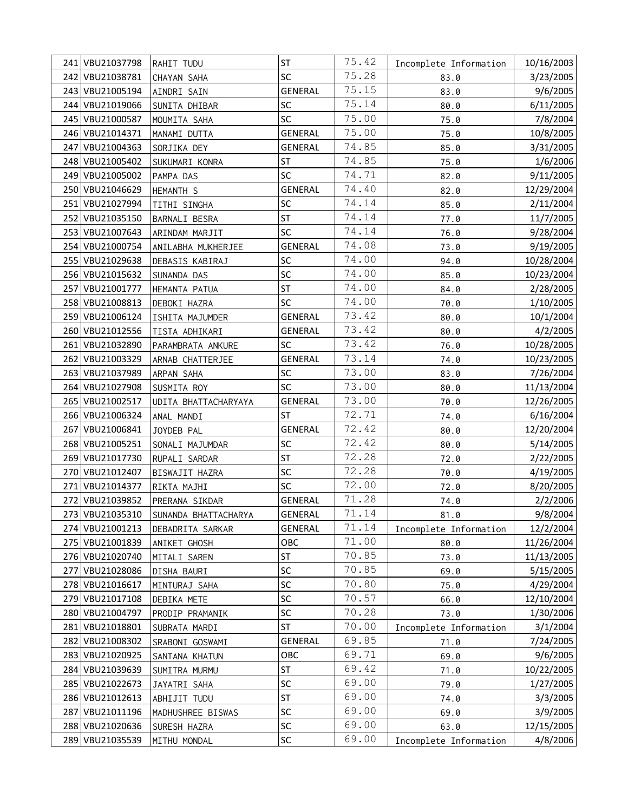| 241 VBU21037798   | RAHIT TUDU           | <b>ST</b>      | 75.42 | Incomplete Information | 10/16/2003 |
|-------------------|----------------------|----------------|-------|------------------------|------------|
| 242 VBU21038781   | CHAYAN SAHA          | SC             | 75.28 | 83.0                   | 3/23/2005  |
| 243 VBU21005194   | AINDRI SAIN          | GENERAL        | 75.15 | 83.0                   | 9/6/2005   |
| 244 VBU21019066   | SUNITA DHIBAR        | SC             | 75.14 | 80.0                   | 6/11/2005  |
| 245 VBU21000587   | MOUMITA SAHA         | <b>SC</b>      | 75.00 | 75.0                   | 7/8/2004   |
| 246 VBU21014371   | MANAMI DUTTA         | GENERAL        | 75.00 | 75.0                   | 10/8/2005  |
| 247 VBU21004363   | SORJIKA DEY          | GENERAL        | 74.85 | 85.0                   | 3/31/2005  |
| 248 VBU21005402   | SUKUMARI KONRA       | <b>ST</b>      | 74.85 | 75.0                   | 1/6/2006   |
| 249 VBU21005002   | PAMPA DAS            | SC             | 74.71 | 82.0                   | 9/11/2005  |
| 250 VBU21046629   | HEMANTH S            | GENERAL        | 74.40 | 82.0                   | 12/29/2004 |
| 251 VBU21027994   | TITHI SINGHA         | SC             | 74.14 | 85.0                   | 2/11/2004  |
| 252 VBU21035150   | BARNALI BESRA        | <b>ST</b>      | 74.14 | 77.0                   | 11/7/2005  |
| 253 VBU21007643   | ARINDAM MARJIT       | SC             | 74.14 | 76.0                   | 9/28/2004  |
| 254 VBU21000754   | ANILABHA MUKHERJEE   | <b>GENERAL</b> | 74.08 | 73.0                   | 9/19/2005  |
| 255 VBU21029638   | DEBASIS KABIRAJ      | <b>SC</b>      | 74.00 | 94.0                   | 10/28/2004 |
| 256 VBU21015632   | SUNANDA DAS          | SC             | 74.00 | 85.0                   | 10/23/2004 |
| 257 VBU21001777   | HEMANTA PATUA        | <b>ST</b>      | 74.00 | 84.0                   | 2/28/2005  |
| 258 VBU21008813   | DEBOKI HAZRA         | <b>SC</b>      | 74.00 | 70.0                   | 1/10/2005  |
| 259 VBU21006124   | ISHITA MAJUMDER      | <b>GENERAL</b> | 73.42 | 80.0                   | 10/1/2004  |
| 260 VBU21012556   | TISTA ADHIKARI       | GENERAL        | 73.42 | 80.0                   | 4/2/2005   |
| 261 VBU21032890   | PARAMBRATA ANKURE    | <b>SC</b>      | 73.42 | 76.0                   | 10/28/2005 |
| 262 VBU21003329   | ARNAB CHATTERJEE     | <b>GENERAL</b> | 73.14 | 74.0                   | 10/23/2005 |
| 263 VBU21037989   | ARPAN SAHA           | SC             | 73.00 | 83.0                   | 7/26/2004  |
| 264 VBU21027908   | SUSMITA ROY          | <b>SC</b>      | 73.00 | 80.0                   | 11/13/2004 |
| 265 VBU21002517   | UDITA BHATTACHARYAYA | GENERAL        | 73.00 | 70.0                   | 12/26/2005 |
| 266 VBU21006324   | ANAL MANDI           | <b>ST</b>      | 72.71 | 74.0                   | 6/16/2004  |
| 267 VBU21006841   | JOYDEB PAL           | GENERAL        | 72.42 | 80.0                   | 12/20/2004 |
| 268 VBU21005251   | SONALI MAJUMDAR      | <b>SC</b>      | 72.42 | 80.0                   | 5/14/2005  |
| 269 VBU21017730   | RUPALI SARDAR        | <b>ST</b>      | 72.28 | 72.0                   | 2/22/2005  |
| 270 VBU21012407   | BISWAJIT HAZRA       | SC             | 72.28 | 70.0                   | 4/19/2005  |
| 271 VBU21014377   | RIKTA MAJHI          | SC             | 72.00 | 72.0                   | 8/20/2005  |
| 272 VBU21039852   | PRERANA SIKDAR       | <b>GENERAL</b> | 71.28 | 74.0                   | 2/2/2006   |
| 273 VBU21035310   | SUNANDA BHATTACHARYA | <b>GENERAL</b> | 71.14 | 81.0                   | 9/8/2004   |
| 274   VBU21001213 | DEBADRITA SARKAR     | GENERAL        | 71.14 | Incomplete Information | 12/2/2004  |
| 275 VBU21001839   | ANIKET GHOSH         | OBC            | 71.00 | 80.0                   | 11/26/2004 |
| 276 VBU21020740   | MITALI SAREN         | <b>ST</b>      | 70.85 | 73.0                   | 11/13/2005 |
| 277 VBU21028086   | DISHA BAURI          | SC             | 70.85 | 69.0                   | 5/15/2005  |
| 278 VBU21016617   | MINTURAJ SAHA        | SC             | 70.80 | 75.0                   | 4/29/2004  |
| 279 VBU21017108   | DEBIKA METE          | SC             | 70.57 | 66.0                   | 12/10/2004 |
| 280 VBU21004797   | PRODIP PRAMANIK      | SC             | 70.28 | 73.0                   | 1/30/2006  |
| 281 VBU21018801   | SUBRATA MARDI        | <b>ST</b>      | 70.00 | Incomplete Information | 3/1/2004   |
| 282 VBU21008302   | SRABONI GOSWAMI      | GENERAL        | 69.85 | 71.0                   | 7/24/2005  |
| 283 VBU21020925   | SANTANA KHATUN       | OBC            | 69.71 | 69.0                   | 9/6/2005   |
| 284 VBU21039639   | SUMITRA MURMU        | ST             | 69.42 | 71.0                   | 10/22/2005 |
| 285 VBU21022673   | JAYATRI SAHA         | SC             | 69.00 | 79.0                   | 1/27/2005  |
| 286 VBU21012613   | ABHIJIT TUDU         | <b>ST</b>      | 69.00 | 74.0                   | 3/3/2005   |
| 287 VBU21011196   | MADHUSHREE BISWAS    | SC             | 69.00 | 69.0                   | 3/9/2005   |
| 288 VBU21020636   | SURESH HAZRA         | SC             | 69.00 | 63.0                   | 12/15/2005 |
| 289 VBU21035539   | MITHU MONDAL         | SC             | 69.00 | Incomplete Information | 4/8/2006   |